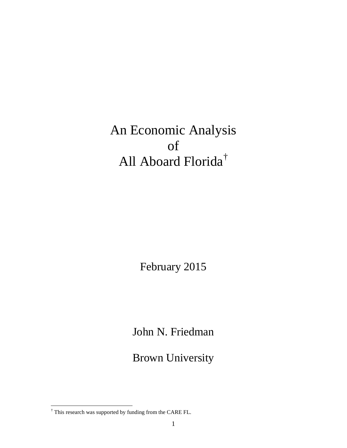An Economic Analysis of All Aboard Florida[†](#page-0-0)

February 2015

John N. Friedman

Brown University

<span id="page-0-0"></span> $^\dagger$  This research was supported by funding from the CARE FL.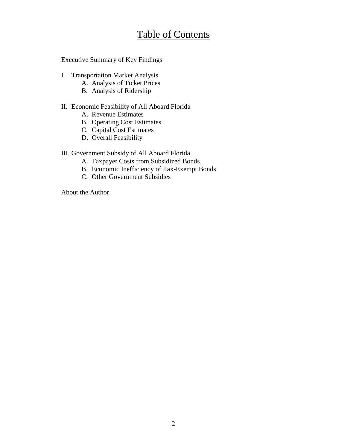# Table of Contents

Executive Summary of Key Findings

- I. Transportation Market Analysis
	- A. Analysis of Ticket Prices
	- B. Analysis of Ridership

### II. Economic Feasibility of All Aboard Florida

- A. Revenue Estimates
- B. Operating Cost Estimates
- C. Capital Cost Estimates
- D. Overall Feasibility

# III. Government Subsidy of All Aboard Florida

- A. Taxpayer Costs from Subsidized Bonds
- B. Economic Inefficiency of Tax-Exempt Bonds
- C. Other Government Subsidies

About the Author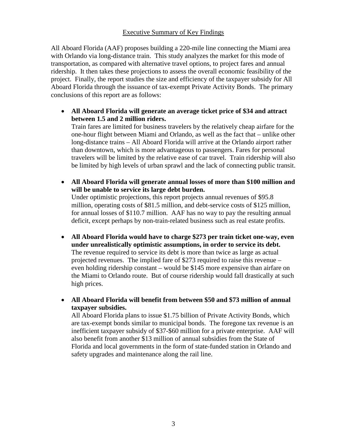### Executive Summary of Key Findings

All Aboard Florida (AAF) proposes building a 220-mile line connecting the Miami area with Orlando via long-distance train. This study analyzes the market for this mode of transportation, as compared with alternative travel options, to project fares and annual ridership. It then takes these projections to assess the overall economic feasibility of the project. Finally, the report studies the size and efficiency of the taxpayer subsidy for All Aboard Florida through the issuance of tax-exempt Private Activity Bonds. The primary conclusions of this report are as follows:

• **All Aboard Florida will generate an average ticket price of \$34 and attract between 1.5 and 2 million riders.**

Train fares are limited for business travelers by the relatively cheap airfare for the one-hour flight between Miami and Orlando, as well as the fact that – unlike other long-distance trains – All Aboard Florida will arrive at the Orlando airport rather than downtown, which is more advantageous to passengers. Fares for personal travelers will be limited by the relative ease of car travel. Train ridership will also be limited by high levels of urban sprawl and the lack of connecting public transit.

• **All Aboard Florida will generate annual losses of more than \$100 million and will be unable to service its large debt burden.**

Under optimistic projections, this report projects annual revenues of \$95.8 million, operating costs of \$81.5 million, and debt-service costs of \$125 million, for annual losses of \$110.7 million. AAF has no way to pay the resulting annual deficit, except perhaps by non-train-related business such as real estate profits.

• **All Aboard Florida would have to charge \$273 per train ticket one-way, even under unrealistically optimistic assumptions, in order to service its debt.** The revenue required to service its debt is more than twice as large as actual projected revenues. The implied fare of \$273 required to raise this revenue – even holding ridership constant – would be \$145 more expensive than airfare on the Miami to Orlando route. But of course ridership would fall drastically at such high prices.

• **All Aboard Florida will benefit from between \$50 and \$73 million of annual taxpayer subsidies.**

All Aboard Florida plans to issue \$1.75 billion of Private Activity Bonds, which are tax-exempt bonds similar to municipal bonds. The foregone tax revenue is an inefficient taxpayer subsidy of \$37-\$60 million for a private enterprise. AAF will also benefit from another \$13 million of annual subsidies from the State of Florida and local governments in the form of state-funded station in Orlando and safety upgrades and maintenance along the rail line.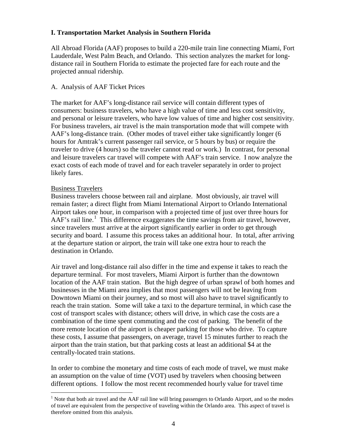# **I. Transportation Market Analysis in Southern Florida**

All Abroad Florida (AAF) proposes to build a 220-mile train line connecting Miami, Fort Lauderdale, West Palm Beach, and Orlando. This section analyzes the market for longdistance rail in Southern Florida to estimate the projected fare for each route and the projected annual ridership.

### A. Analysis of AAF Ticket Prices

The market for AAF's long-distance rail service will contain different types of consumers: business travelers, who have a high value of time and less cost sensitivity, and personal or leisure travelers, who have low values of time and higher cost sensitivity. For business travelers, air travel is the main transportation mode that will compete with AAF's long-distance train. (Other modes of travel either take significantly longer (6 hours for Amtrak's current passenger rail service, or 5 hours by bus) or require the traveler to drive (4 hours) so the traveler cannot read or work.) In contrast, for personal and leisure travelers car travel will compete with AAF's train service. I now analyze the exact costs of each mode of travel and for each traveler separately in order to project likely fares.

### Business Travelers

Business travelers choose between rail and airplane. Most obviously, air travel will remain faster; a direct flight from Miami International Airport to Orlando International Airport takes one hour, in comparison with a projected time of just over three hours for  $A\overline{A}F$ 's rail line.<sup>[1](#page-3-0)</sup> This difference exaggerates the time savings from air travel, however, since travelers must arrive at the airport significantly earlier in order to get through security and board. I assume this process takes an additional hour. In total, after arriving at the departure station or airport, the train will take one extra hour to reach the destination in Orlando.

Air travel and long-distance rail also differ in the time and expense it takes to reach the departure terminal. For most travelers, Miami Airport is further than the downtown location of the AAF train station. But the high degree of urban sprawl of both homes and businesses in the Miami area implies that most passengers will not be leaving from Downtown Miami on their journey, and so most will also have to travel significantly to reach the train station. Some will take a taxi to the departure terminal, in which case the cost of transport scales with distance; others will drive, in which case the costs are a combination of the time spent commuting and the cost of parking. The benefit of the more remote location of the airport is cheaper parking for those who drive. To capture these costs, I assume that passengers, on average, travel 15 minutes further to reach the airport than the train station, but that parking costs at least an additional \$4 at the centrally-located train stations.

In order to combine the monetary and time costs of each mode of travel, we must make an assumption on the value of time (VOT) used by travelers when choosing between different options. I follow the most recent recommended hourly value for travel time

<span id="page-3-0"></span><sup>&</sup>lt;sup>1</sup> Note that both air travel and the AAF rail line will bring passengers to Orlando Airport, and so the modes of travel are equivalent from the perspective of traveling within the Orlando area. This aspect of travel is therefore omitted from this analysis.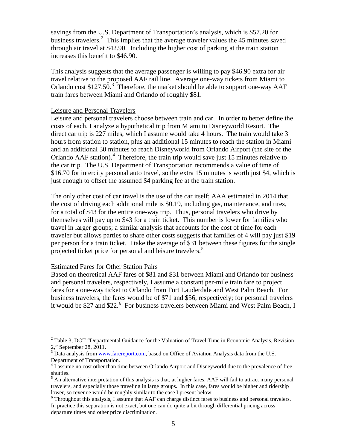savings from the U.S. Department of Transportation's analysis, which is \$57.20 for business travelers.<sup>[2](#page-4-0)</sup> This implies that the average traveler values the 45 minutes saved through air travel at \$42.90. Including the higher cost of parking at the train station increases this benefit to \$46.90.

This analysis suggests that the average passenger is willing to pay \$46.90 extra for air travel relative to the proposed AAF rail line. Average one-way tickets from Miami to Orlando cost  $$127.50$ .<sup>[3](#page-4-1)</sup> Therefore, the market should be able to support one-way AAF train fares between Miami and Orlando of roughly \$81.

#### Leisure and Personal Travelers

Leisure and personal travelers choose between train and car. In order to better define the costs of each, I analyze a hypothetical trip from Miami to Disneyworld Resort. The direct car trip is 227 miles, which I assume would take 4 hours. The train would take 3 hours from station to station, plus an additional 15 minutes to reach the station in Miami and an additional 30 minutes to reach Disneyworld from Orlando Airport (the site of the Orlando  $AAF$  station).<sup>[4](#page-4-2)</sup> Therefore, the train trip would save just 15 minutes relative to the car trip. The U.S. Department of Transportation recommends a value of time of \$16.70 for intercity personal auto travel, so the extra 15 minutes is worth just \$4, which is just enough to offset the assumed \$4 parking fee at the train station.

The only other cost of car travel is the use of the car itself; AAA estimated in 2014 that the cost of driving each additional mile is \$0.19, including gas, maintenance, and tires, for a total of \$43 for the entire one-way trip. Thus, personal travelers who drive by themselves will pay up to \$43 for a train ticket. This number is lower for families who travel in larger groups; a similar analysis that accounts for the cost of time for each traveler but allows parties to share other costs suggests that families of 4 will pay just \$19 per person for a train ticket. I take the average of \$31 between these figures for the single projected ticket price for personal and leisure travelers.<sup>[5](#page-4-3)</sup>

### Estimated Fares for Other Station Pairs

Based on theoretical AAF fares of \$81 and \$31 between Miami and Orlando for business and personal travelers, respectively, I assume a constant per-mile train fare to project fares for a one-way ticket to Orlando from Fort Lauderdale and West Palm Beach. For business travelers, the fares would be of \$71 and \$56, respectively; for personal travelers it would be \$27 and \$22.<sup>[6](#page-4-4)</sup> For business travelers between Miami and West Palm Beach, I

<span id="page-4-0"></span> $2$  Table 3, DOT "Departmental Guidance for the Valuation of Travel Time in Economic Analysis, Revision 2," September 28, 2011.

<span id="page-4-1"></span><sup>&</sup>lt;sup>3</sup> Data analysis from [www.farereport.com,](http://www.farereport.com/) based on Office of Aviation Analysis data from the U.S. Department of Transportation.

<span id="page-4-2"></span><sup>&</sup>lt;sup>4</sup> I assume no cost other than time between Orlando Airport and Disneyworld due to the prevalence of free shuttles.

<span id="page-4-3"></span><sup>&</sup>lt;sup>5</sup> An alternative interpretation of this analysis is that, at higher fares, AAF will fail to attract many personal travelers, and especially those traveling in large groups. In this case, fares would be higher and ridership lower, so revenue would be roughly similar to the case I present below.

<span id="page-4-4"></span> $6$  Throughout this analysis, I assume that AAF can charge distinct fares to business and personal travelers. In practice this separation is not exact, but one can do quite a bit through differential pricing across departure times and other price discrimination.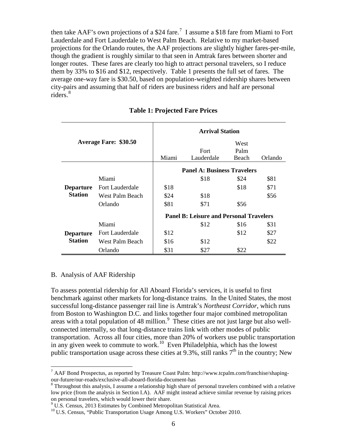then take AAF's own projections of a \$24 fare.<sup>[7](#page-5-0)</sup> I assume a \$18 fare from Miami to Fort Lauderdale and Fort Lauderdale to West Palm Beach. Relative to my market-based projections for the Orlando routes, the AAF projections are slightly higher fares-per-mile, though the gradient is roughly similar to that seen in Amtrak fares between shorter and longer routes. These fares are clearly too high to attract personal travelers, so I reduce them by 33% to \$16 and \$12, respectively. Table 1 presents the full set of fares. The average one-way fare is \$30.50, based on population-weighted ridership shares between city-pairs and assuming that half of riders are business riders and half are personal riders.<sup>[8](#page-5-1)</sup>

| <b>Average Fare: \$30.50</b>       |                        | <b>Arrival Station</b>                         |            |       |         |  |
|------------------------------------|------------------------|------------------------------------------------|------------|-------|---------|--|
|                                    |                        |                                                |            | West  |         |  |
|                                    |                        |                                                | Fort       | Palm  |         |  |
|                                    |                        | Miami                                          | Lauderdale | Beach | Orlando |  |
|                                    |                        | <b>Panel A: Business Travelers</b>             |            |       |         |  |
| <b>Departure</b><br><b>Station</b> | Miami                  |                                                | \$18       | \$24  | \$81    |  |
|                                    | <b>Fort Lauderdale</b> | \$18                                           |            | \$18  | \$71    |  |
|                                    | West Palm Beach        | \$24                                           | \$18       |       | \$56    |  |
|                                    | Orlando                | \$81                                           | \$71       | \$56  |         |  |
|                                    |                        | <b>Panel B: Leisure and Personal Travelers</b> |            |       |         |  |
| <b>Departure</b><br><b>Station</b> | Miami                  |                                                | \$12       | \$16  | \$31    |  |
|                                    | Fort Lauderdale        | \$12                                           |            | \$12  | \$27    |  |
|                                    | West Palm Beach        | \$16                                           | \$12       |       | \$22    |  |
|                                    | Orlando                | \$31                                           | \$27       | \$22  |         |  |

#### **Table 1: Projected Fare Prices**

#### B. Analysis of AAF Ridership

To assess potential ridership for All Aboard Florida's services, it is useful to first benchmark against other markets for long-distance trains. In the United States, the most successful long-distance passenger rail line is Amtrak's *Northeast Corridor*, which runs from Boston to Washington D.C. and links together four major combined metropolitan areas with a total population of 48 million.<sup>[9](#page-5-2)</sup> These cities are not just large but also wellconnected internally, so that long-distance trains link with other modes of public transportation. Across all four cities, more than 20% of workers use public transportation in any given week to commute to work.<sup>[10](#page-5-3)</sup> Even Philadelphia, which has the lowest public transportation usage across these cities at 9.3%, still ranks  $7<sup>th</sup>$  in the country; New

<span id="page-5-0"></span> $^7$  AAF Bond Prospectus, as reported by Treasure Coast Palm: http://www.tcpalm.com/franchise/shaping-<br>our-future/our-roads/exclusive-all-aboard-florida-document-has

<span id="page-5-1"></span> $8$  Throughout this analysis, I assume a relationship high share of personal travelers combined with a relative low price (from the analysis in Section I.A). AAF might instead achieve similar revenue by raising prices on personal travelers, which would lower their share.

 $9 \text{ U.S.}$  Census, 2013 Estimates by Combined Metropolitan Statistical Area.

<span id="page-5-3"></span><span id="page-5-2"></span><sup>&</sup>lt;sup>10</sup> U.S. Census, "Public Transportation Usage Among U.S. Workers" October 2010.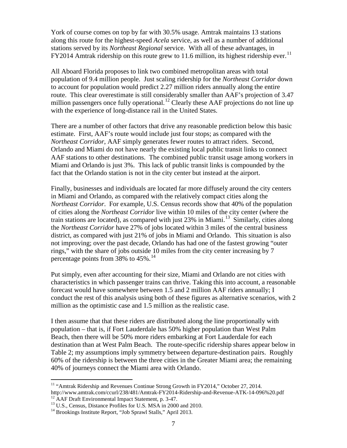York of course comes on top by far with 30.5% usage. Amtrak maintains 13 stations along this route for the highest-speed *Acela* service, as well as a number of additional stations served by its *Northeast Regional* service. With all of these advantages, in FY2014 Amtrak ridership on this route grew to [11](#page-6-0).6 million, its highest ridership ever.<sup>11</sup>

All Aboard Florida proposes to link two combined metropolitan areas with total population of 9.4 million people. Just scaling ridership for the *Northeast Corridor* down to account for population would predict 2.27 million riders annually along the entire route. This clear overestimate is still considerably smaller than AAF's projection of 3.47 million passengers once fully operational.<sup>[12](#page-6-1)</sup> Clearly these AAF projections do not line up with the experience of long-distance rail in the United States.

There are a number of other factors that drive any reasonable prediction below this basic estimate. First, AAF's route would include just four stops; as compared with the *Northeast Corridor*, AAF simply generates fewer routes to attract riders. Second, Orlando and Miami do not have nearly the existing local public transit links to connect AAF stations to other destinations. The combined public transit usage among workers in Miami and Orlando is just 3%. This lack of public transit links is compounded by the fact that the Orlando station is not in the city center but instead at the airport.

Finally, businesses and individuals are located far more diffusely around the city centers in Miami and Orlando, as compared with the relatively compact cities along the *Northeast Corridor*. For example, U.S. Census records show that 40% of the population of cities along the *Northeast Corridor* live within 10 miles of the city center (where the train stations are located), as compared with just  $23\%$  in Miami.<sup>13</sup> Similarly, cities along the *Northeast Corridor* have 27% of jobs located within 3 miles of the central business district, as compared with just 21% of jobs in Miami and Orlando. This situation is also not improving; over the past decade, Orlando has had one of the fastest growing "outer rings," with the share of jobs outside 10 miles from the city center increasing by 7 percentage points from 38% to 45%. [14](#page-6-3) 

Put simply, even after accounting for their size, Miami and Orlando are not cities with characteristics in which passenger trains can thrive. Taking this into account, a reasonable forecast would have somewhere between 1.5 and 2 million AAF riders annually; I conduct the rest of this analysis using both of these figures as alternative scenarios, with 2 million as the optimistic case and 1.5 million as the realistic case.

I then assume that that these riders are distributed along the line proportionally with population – that is, if Fort Lauderdale has 50% higher population than West Palm Beach, then there will be 50% more riders embarking at Fort Lauderdale for each destination than at West Palm Beach. The route-specific ridership shares appear below in Table 2; my assumptions imply symmetry between departure-destination pairs. Roughly 60% of the ridership is between the three cities in the Greater Miami area; the remaining 40% of journeys connect the Miami area with Orlando.

<span id="page-6-0"></span><sup>&</sup>lt;sup>11</sup> "Amtrak Ridership and Revenues Continue Strong Growth in FY2014," October 27, 2014.

<span id="page-6-1"></span>http://www.amtrak.com/ccurl/238/481/Amtrak-FY2014-Ridership-and-Revenue-ATK-14-096%20.pdf<br><sup>12</sup> AAF Draft Environmental Impact Statement, p. 3-47.<br><sup>13</sup> U.S., Census, Distance Profiles for U.S. MSA in 2000 and 2010.<br><sup>14</sup> Bro

<span id="page-6-3"></span><span id="page-6-2"></span>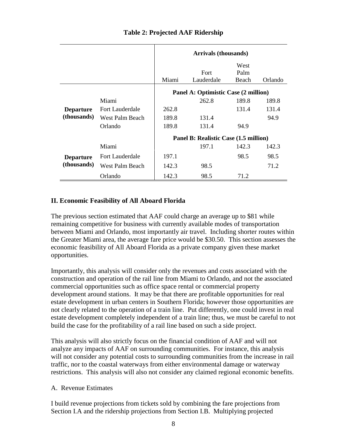|                                 |                        | <b>Arrivals (thousands)</b>           |                    |                       |         |
|---------------------------------|------------------------|---------------------------------------|--------------------|-----------------------|---------|
|                                 |                        | Miami                                 | Fort<br>Lauderdale | West<br>Palm<br>Beach | Orlando |
|                                 |                        | Panel A: Optimistic Case (2 million)  |                    |                       |         |
| <b>Departure</b><br>(thousands) | Miami                  |                                       | 262.8              | 189.8                 | 189.8   |
|                                 | <b>Fort Lauderdale</b> | 262.8                                 |                    | 131.4                 | 131.4   |
|                                 | West Palm Beach        | 189.8                                 | 131.4              |                       | 94.9    |
|                                 | Orlando                | 189.8                                 | 131.4              | 94.9                  |         |
|                                 |                        | Panel B: Realistic Case (1.5 million) |                    |                       |         |
| <b>Departure</b><br>(thousands) | Miami                  |                                       | 197.1              | 142.3                 | 142.3   |
|                                 | <b>Fort Lauderdale</b> | 197.1                                 |                    | 98.5                  | 98.5    |
|                                 | West Palm Beach        | 142.3                                 | 98.5               |                       | 71.2    |
|                                 | Orlando                | 142.3                                 | 98.5               | 71.2                  |         |

# **Table 2: Projected AAF Ridership**

# **II. Economic Feasibility of All Aboard Florida**

The previous section estimated that AAF could charge an average up to \$81 while remaining competitive for business with currently available modes of transportation between Miami and Orlando, most importantly air travel. Including shorter routes within the Greater Miami area, the average fare price would be \$30.50. This section assesses the economic feasibility of All Aboard Florida as a private company given these market opportunities.

Importantly, this analysis will consider only the revenues and costs associated with the construction and operation of the rail line from Miami to Orlando, and not the associated commercial opportunities such as office space rental or commercial property development around stations. It may be that there are profitable opportunities for real estate development in urban centers in Southern Florida; however those opportunities are not clearly related to the operation of a train line. Put differently, one could invest in real estate development completely independent of a train line; thus, we must be careful to not build the case for the profitability of a rail line based on such a side project.

This analysis will also strictly focus on the financial condition of AAF and will not analyze any impacts of AAF on surrounding communities. For instance, this analysis will not consider any potential costs to surrounding communities from the increase in rail traffic, nor to the coastal waterways from either environmental damage or waterway restrictions. This analysis will also not consider any claimed regional economic benefits.

### A. Revenue Estimates

I build revenue projections from tickets sold by combining the fare projections from Section I.A and the ridership projections from Section I.B. Multiplying projected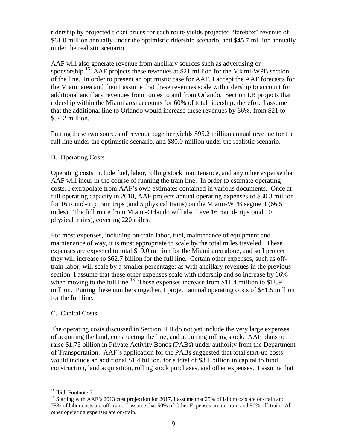ridership by projected ticket prices for each route yields projected "farebox" revenue of \$61.0 million annually under the optimistic ridership scenario, and \$45.7 million annually under the realistic scenario.

AAF will also generate revenue from ancillary sources such as advertising or sponsorship.<sup>[15](#page-8-0)</sup> AAF projects these revenues at \$21 million for the Miami-WPB section of the line. In order to present an optimistic case for AAF, I accept the AAF forecasts for the Miami area and then I assume that these revenues scale with ridership to account for additional ancillary revenues from routes to and from Orlando. Section I.B projects that ridership within the Miami area accounts for 60% of total ridership; therefore I assume that the additional line to Orlando would increase these revenues by 66%, from \$21 to \$34.2 million.

Putting these two sources of revenue together yields \$95.2 million annual revenue for the full line under the optimistic scenario, and \$80.0 million under the realistic scenario.

### B. Operating Costs

Operating costs include fuel, labor, rolling stock maintenance, and any other expense that AAF will incur in the course of running the train line. In order to estimate operating costs, I extrapolate from AAF's own estimates contained in various documents. Once at full operating capacity in 2018, AAF projects annual operating expenses of \$30.3 million for 16 round-trip train trips (and 5 physical trains) on the Miami-WPB segment (66.5 miles). The full route from Miami-Orlando will also have 16 round-trips (and 10 physical trains), covering 220 miles.

For most expenses, including on-train labor, fuel, maintenance of equipment and maintenance of way, it is most appropriate to scale by the total miles traveled. These expenses are expected to total \$19.0 million for the Miami area alone, and so I project they will increase to \$62.7 billion for the full line. Certain other expenses, such as offtrain labor, will scale by a smaller percentage; as with ancillary revenues in the previous section, I assume that these other expenses scale with ridership and so increase by 66% when moving to the full line.<sup>16</sup> These expenses increase from \$11.4 million to \$18.9 million. Putting these numbers together, I project annual operating costs of \$81.5 million for the full line.

# C. Capital Costs

The operating costs discussed in Section II.B do not yet include the very large expenses of acquiring the land, constructing the line, and acquiring rolling stock. AAF plans to raise \$1.75 billion in Private Activity Bonds (PABs) under authority from the Department of Transportation. AAF's application for the PABs suggested that total start-up costs would include an additional \$1.4 billion, for a total of \$3.1 billion in capital to fund construction, land acquisition, rolling stock purchases, and other expenses. I assume that

<span id="page-8-1"></span><span id="page-8-0"></span><sup>&</sup>lt;sup>15</sup> Ibid. Footnote 7.<br><sup>16</sup> Starting with AAF's 2013 cost projection for 2017, I assume that 25% of labor costs are on-train and 75% of labor costs are off-train. I assume that 50% of Other Expenses are on-train and 50% off-train. All other operating expenses are on-train.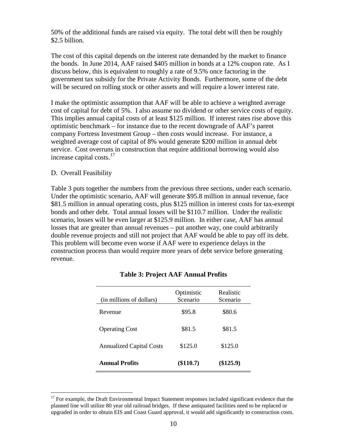50% of the additional funds are raised via equity. The total debt will then be roughly \$2.5 billion.

The cost of this capital depends on the interest rate demanded by the market to finance the bonds. In June 2014, AAF raised \$405 million in bonds at a 12% coupon rate. As I discuss below, this is equivalent to roughly a rate of 9.5% once factoring in the government tax subsidy for the Private Activity Bonds. Furthermore, some of the debt will be secured on rolling stock or other assets and will require a lower interest rate.

I make the optimistic assumption that AAF will be able to achieve a weighted average cost of capital for debt of 5%. I also assume no dividend or other service costs of equity. This implies annual capital costs of at least \$125 million. If interest rates rise above this optimistic benchmark – for instance due to the recent downgrade of AAF's parent company Fortress Investment Group – then costs would increase. For instance, a weighted average cost of capital of 8% would generate \$200 million in annual debt service. Cost overruns in construction that require additional borrowing would also increase capital costs. $17$ 

### D. Overall Feasibility

Table 3 puts together the numbers from the previous three sections, under each scenario. Under the optimistic scenario, AAF will generate \$95.8 million in annual revenue, face \$81.5 million in annual operating costs, plus \$125 million in interest costs for tax-exempt bonds and other debt. Total annual losses will be \$110.7 million. Under the realistic scenario, losses will be even larger at \$125.9 million. In either case, AAF has annual losses that are greater than annual revenues – put another way, one could arbitrarily double revenue projects and still not project that AAF would be able to pay off its debt. This problem will become even worse if AAF were to experience delays in the construction process than would require more years of debt service before generating revenue.

| (in millions of dollars)        | Optimistic<br>Scenario | Realistic<br>Scenario |
|---------------------------------|------------------------|-----------------------|
| Revenue                         | \$95.8                 | \$80.6                |
| <b>Operating Cost</b>           | \$81.5                 | \$81.5                |
| <b>Annualized Capital Costs</b> | \$125.0                | \$125.0               |
| <b>Annual Profits</b>           | (\$110.7)              | $(\$125.9)$           |

### **Table 3: Project AAF Annual Profits**

<span id="page-9-0"></span> $17$  For example, the Draft Environmental Impact Statement responses included significant evidence that the planned line will utilize 80 year old railroad bridges. If these antiquated facilities need to be replaced or upgraded in order to obtain EIS and Coast Guard approval, it would add significantly to construction costs.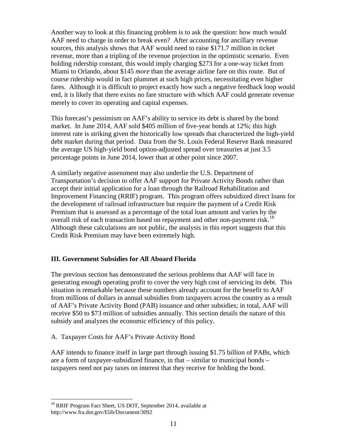Another way to look at this financing problem is to ask the question: how much would AAF need to charge in order to break even? After accounting for ancillary revenue sources, this analysis shows that AAF would need to raise \$171.7 million in ticket revenue, more than a tripling of the revenue projection in the optimistic scenario. Even holding ridership constant, this would imply charging \$273 for a one-way ticket from Miami to Orlando, about \$145 *more* than the average airline fare on this route. But of course ridership would in fact plummet at such high prices, necessitating even higher fares. Although it is difficult to project exactly how such a negative feedback loop would end, it is likely that there exists no fare structure with which AAF could generate revenue merely to cover its operating and capital expenses.

This forecast's pessimism on AAF's ability to service its debt is shared by the bond market. In June 2014, AAF sold \$405 million of five-year bonds at 12%; this high interest rate is striking given the historically low spreads that characterized the high-yield debt market during that period. Data from the St. Louis Federal Reserve Bank measured the average US high-yield bond option-adjusted spread over treasuries at just 3.5 percentage points in June 2014, lower than at other point since 2007.

A similarly negative assessment may also underlie the U.S. Department of Transportation's decision to offer AAF support for Private Activity Bonds rather than accept their initial application for a loan through the Railroad Rehabilitation and Improvement Financing (RRIF) program. This program offers subsidized direct loans for the development of railroad infrastructure but require the payment of a Credit Risk Premium that is assessed as a percentage of the total loan amount and varies by the overall risk of each transaction based on repayment and other non-payment risk.<sup>18</sup> Although these calculations are not public, the analysis in this report suggests that this Credit Risk Premium may have been extremely high.

# **III. Government Subsidies for All Aboard Florida**

The previous section has demonstrated the serious problems that AAF will face in generating enough operating profit to cover the very high cost of servicing its debt. This situation is remarkable because these numbers already account for the benefit to AAF from millions of dollars in annual subsidies from taxpayers across the country as a result of AAF's Private Activity Bond (PAB) issuance and other subsidies; in total, AAF will receive \$50 to \$73 million of subsidies annually. This section details the nature of this subsidy and analyzes the economic efficiency of this policy.

A. Taxpayer Costs for AAF's Private Activity Bond

AAF intends to finance itself in large part through issuing \$1.75 billion of PABs, which are a form of taxpayer-subsidized finance, in that – similar to municipal bonds – taxpayers need not pay taxes on interest that they receive for holding the bond.

<span id="page-10-0"></span><sup>&</sup>lt;sup>18</sup> RRIF Program Fact Sheet, US DOT, September 2014, available at http://www.fra.dot.gov/Elib/Document/3092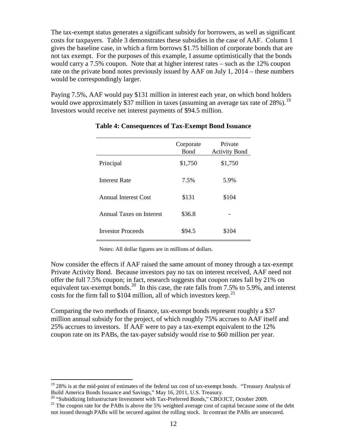The tax-exempt status generates a significant subsidy for borrowers, as well as significant costs for taxpayers. Table 3 demonstrates these subsidies in the case of AAF. Column 1 gives the baseline case, in which a firm borrows \$1.75 billion of corporate bonds that are not tax exempt. For the purposes of this example, I assume optimistically that the bonds would carry a 7.5% coupon. Note that at higher interest rates – such as the 12% coupon rate on the private bond notes previously issued by AAF on July 1, 2014 – these numbers would be correspondingly larger.

Paying 7.5%, AAF would pay \$131 million in interest each year, on which bond holders would owe approximately \$37 million in taxes (assuming an average tax rate of 28%).<sup>[19](#page-11-0)</sup> Investors would receive net interest payments of \$94.5 million.

|                             | Corporate<br>Bond | Private<br><b>Activity Bond</b> |
|-----------------------------|-------------------|---------------------------------|
| Principal                   | \$1,750           | \$1,750                         |
| <b>Interest Rate</b>        | 7.5%              | 5.9%                            |
| <b>Annual Interest Cost</b> | \$131             | \$104                           |
| Annual Taxes on Interest    | \$36.8            |                                 |
| <b>Investor Proceeds</b>    | \$94.5            | \$104                           |

#### **Table 4: Consequences of Tax-Exempt Bond Issuance**

Notes: All dollar figures are in millions of dollars.

Now consider the effects if AAF raised the same amount of money through a tax-exempt Private Activity Bond. Because investors pay no tax on interest received, AAF need not offer the full 7.5% coupon; in fact, research suggests that coupon rates fall by 21% on equivalent tax-exempt bonds.<sup>[20](#page-11-1)</sup> In this case, the rate falls from 7.5% to 5.9%, and interest costs for the firm fall to \$104 million, all of which investors keep.<sup>[21](#page-11-2)</sup>

Comparing the two methods of finance, tax-exempt bonds represent roughly a \$37 million annual subsidy for the project, of which roughly 75% accrues to AAF itself and 25% accrues to investors. If AAF were to pay a tax-exempt equivalent to the 12% coupon rate on its PABs, the tax-payer subsidy would rise to \$60 million per year.

<span id="page-11-0"></span><sup>&</sup>lt;sup>19</sup> 28% is at the mid-point of estimates of the federal tax cost of tax-exempt bonds. "Treasury Analysis of Build America Bonds Issuance and Savings," May 16, 2011, U.S. Treasury.<br><sup>20</sup> "Subsidizing Infrastructure Investment with Tax-Preferred Bonds," CBO/JCT, October 2009.

<span id="page-11-2"></span><span id="page-11-1"></span><sup>&</sup>lt;sup>21</sup> The coupon rate for the PABs is above the 5% weighted average cost of capital because some of the debt not issued through PABs will be secured against the rolling stock. In contrast the PABs are unsecured.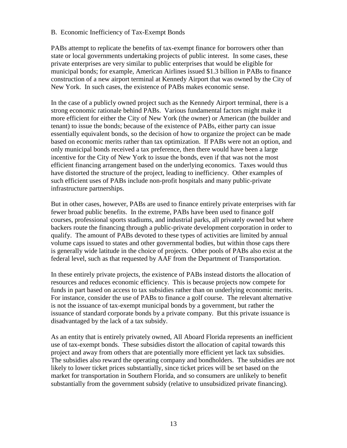### B. Economic Inefficiency of Tax-Exempt Bonds

PABs attempt to replicate the benefits of tax-exempt finance for borrowers other than state or local governments undertaking projects of public interest. In some cases, these private enterprises are very similar to public enterprises that would be eligible for municipal bonds; for example, American Airlines issued \$1.3 billion in PABs to finance construction of a new airport terminal at Kennedy Airport that was owned by the City of New York. In such cases, the existence of PABs makes economic sense.

In the case of a publicly owned project such as the Kennedy Airport terminal, there is a strong economic rationale behind PABs. Various fundamental factors might make it more efficient for either the City of New York (the owner) or American (the builder and tenant) to issue the bonds; because of the existence of PABs, either party can issue essentially equivalent bonds, so the decision of how to organize the project can be made based on economic merits rather than tax optimization. If PABs were not an option, and only municipal bonds received a tax preference, then there would have been a large incentive for the City of New York to issue the bonds, even if that was not the most efficient financing arrangement based on the underlying economics. Taxes would thus have distorted the structure of the project, leading to inefficiency. Other examples of such efficient uses of PABs include non-profit hospitals and many public-private infrastructure partnerships.

But in other cases, however, PABs are used to finance entirely private enterprises with far fewer broad public benefits. In the extreme, PABs have been used to finance golf courses, professional sports stadiums, and industrial parks, all privately owned but where backers route the financing through a public-private development corporation in order to qualify. The amount of PABs devoted to these types of activities are limited by annual volume caps issued to states and other governmental bodies, but within those caps there is generally wide latitude in the choice of projects. Other pools of PABs also exist at the federal level, such as that requested by AAF from the Department of Transportation.

In these entirely private projects, the existence of PABs instead distorts the allocation of resources and reduces economic efficiency. This is because projects now compete for funds in part based on access to tax subsidies rather than on underlying economic merits. For instance, consider the use of PABs to finance a golf course. The relevant alternative is not the issuance of tax-exempt municipal bonds by a government, but rather the issuance of standard corporate bonds by a private company. But this private issuance is disadvantaged by the lack of a tax subsidy.

As an entity that is entirely privately owned, All Aboard Florida represents an inefficient use of tax-exempt bonds. These subsidies distort the allocation of capital towards this project and away from others that are potentially more efficient yet lack tax subsidies. The subsidies also reward the operating company and bondholders. The subsidies are not likely to lower ticket prices substantially, since ticket prices will be set based on the market for transportation in Southern Florida, and so consumers are unlikely to benefit substantially from the government subsidy (relative to unsubsidized private financing).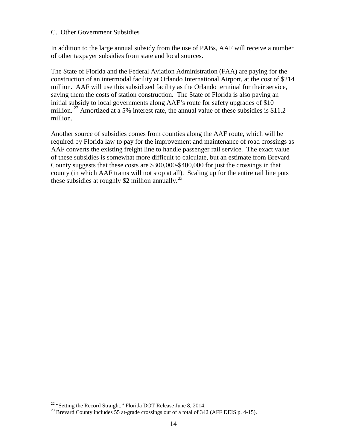### C. Other Government Subsidies

In addition to the large annual subsidy from the use of PABs, AAF will receive a number of other taxpayer subsidies from state and local sources.

The State of Florida and the Federal Aviation Administration (FAA) are paying for the construction of an intermodal facility at Orlando International Airport, at the cost of \$214 million. AAF will use this subsidized facility as the Orlando terminal for their service, saving them the costs of station construction. The State of Florida is also paying an initial subsidy to local governments along AAF's route for safety upgrades of \$10 million. <sup>[22](#page-13-0)</sup> Amortized at a 5% interest rate, the annual value of these subsidies is \$11.2 million.

Another source of subsidies comes from counties along the AAF route, which will be required by Florida law to pay for the improvement and maintenance of road crossings as AAF converts the existing freight line to handle passenger rail service. The exact value of these subsidies is somewhat more difficult to calculate, but an estimate from Brevard County suggests that these costs are \$300,000-\$400,000 for just the crossings in that county (in which AAF trains will not stop at all). Scaling up for the entire rail line puts these subsidies at roughly \$2 million annually.<sup>[23](#page-13-1)</sup>

<span id="page-13-1"></span><span id="page-13-0"></span><sup>&</sup>lt;sup>22</sup> "Setting the Record Straight," Florida DOT Release June 8, 2014.<br><sup>23</sup> Brevard County includes 55 at-grade crossings out of a total of 342 (AFF DEIS p. 4-15).